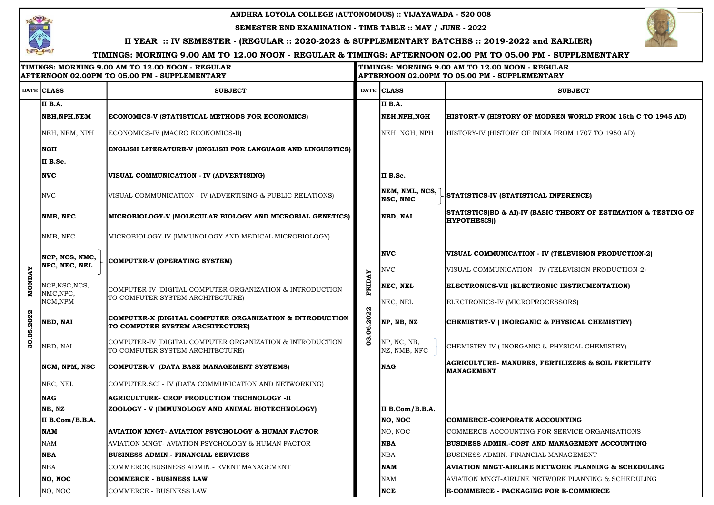| TIMINGS: MORNING 9.00 AM TO 12.00 NOON - REGULAR<br>AFTERNOON 02.00PM TO 05.00 PM - SUPPLEMENTARY |                             |                                                                                               | TIMINGS: MORNING 9.00 AM TO 12.00 NOON - REGULAR<br>AFTERNOON 02.00PM TO 05.00 PM - SUPPLEMENTARY |                             |                                                                          |  |
|---------------------------------------------------------------------------------------------------|-----------------------------|-----------------------------------------------------------------------------------------------|---------------------------------------------------------------------------------------------------|-----------------------------|--------------------------------------------------------------------------|--|
|                                                                                                   | DATE CLASS                  | <b>SUBJECT</b>                                                                                |                                                                                                   | DATE CLASS                  | <b>SUBJECT</b>                                                           |  |
|                                                                                                   | II B.A.                     |                                                                                               |                                                                                                   | II B.A.                     |                                                                          |  |
|                                                                                                   | NEH, NPH, NEM               | ECONOMICS-V (STATISTICAL METHODS FOR ECONOMICS)                                               |                                                                                                   | NEH, NPH, NGH               | HISTORY-V (HISTORY OF MODREN WORLD FRO                                   |  |
|                                                                                                   | NEH, NEM, NPH               | ECONOMICS-IV (MACRO ECONOMICS-II)                                                             |                                                                                                   | NEH, NGH, NPH               | HISTORY-IV (HISTORY OF INDIA FROM 1707 TO 19                             |  |
|                                                                                                   | <b>NGH</b>                  | ENGLISH LITERATURE-V (ENGLISH FOR LANGUAGE AND LINGUISTICS)                                   |                                                                                                   |                             |                                                                          |  |
|                                                                                                   | II B.Sc.                    |                                                                                               |                                                                                                   |                             |                                                                          |  |
|                                                                                                   | <b>NVC</b>                  | VISUAL COMMUNICATION - IV (ADVERTISING)                                                       |                                                                                                   | II B.Sc.                    |                                                                          |  |
|                                                                                                   | <b>NVC</b>                  | VISUAL COMMUNICATION - IV (ADVERTISING & PUBLIC RELATIONS)                                    |                                                                                                   | NEM, NML, NCS,<br>NSC, NMC  | STATISTICS-IV (STATISTICAL INFERENCE)                                    |  |
|                                                                                                   | NMB, NFC                    | MICROBIOLOGY-V (MOLECULAR BIOLOGY AND MICROBIAL GENETICS)                                     |                                                                                                   | NBD, NAI                    | STATISTICS(BD & AI)-IV (BASIC THEORY OF EST<br><b>HYPOTHESIS))</b>       |  |
|                                                                                                   | NMB, NFC                    | MICROBIOLOGY-IV (IMMUNOLOGY AND MEDICAL MICROBIOLOGY)                                         |                                                                                                   |                             |                                                                          |  |
|                                                                                                   | NCP, NCS, NMC,              | COMPUTER-V (OPERATING SYSTEM)                                                                 |                                                                                                   | <b>NVC</b>                  | VISUAL COMMUNICATION - IV (TELEVISION PRO                                |  |
|                                                                                                   | NPC, NEC, NEL               |                                                                                               |                                                                                                   | <b>NVC</b>                  | VISUAL COMMUNICATION - IV (TELEVISION PROD                               |  |
| <b>NONDAY</b>                                                                                     | NCP, NSC, NCS,<br>NMC, NPC, | COMPUTER-IV (DIGITAL COMPUTER ORGANIZATION & INTRODUCTION<br>TO COMPUTER SYSTEM ARCHITECTURE) | FRIDAY                                                                                            | NEC, NEL                    | ELECTRONICS-VII (ELECTRONIC INSTRUMENTA                                  |  |
|                                                                                                   | NCM, NPM                    |                                                                                               |                                                                                                   | NEC, NEL                    | ELECTRONICS-IV (MICROPROCESSORS)                                         |  |
| 2022                                                                                              | NBD, NAI                    | COMPUTER-X (DIGITAL COMPUTER ORGANIZATION & INTRODUCTION<br>TO COMPUTER SYSTEM ARCHITECTURE)  | 2022                                                                                              | NP, NB, NZ                  | CHEMISTRY-V ( INORGANIC & PHYSICAL CHEMI                                 |  |
| 0.05<br>$\overline{3}$                                                                            | NBD, NAI                    | COMPUTER-IV (DIGITAL COMPUTER ORGANIZATION & INTRODUCTION<br>TO COMPUTER SYSTEM ARCHITECTURE) | 03.0                                                                                              | NP, NC, NB,<br>NZ, NMB, NFC | CHEMISTRY-IV (INORGANIC & PHYSICAL CHEMIS                                |  |
|                                                                                                   | NCM, NPM, NSC               | COMPUTER-V (DATA BASE MANAGEMENT SYSTEMS)                                                     |                                                                                                   | <b>NAG</b>                  | <b>AGRICULTURE- MANURES, FERTILIZERS &amp; SOII</b><br><b>MANAGEMENT</b> |  |
|                                                                                                   | NEC, NEL                    | COMPUTER.SCI - IV (DATA COMMUNICATION AND NETWORKING)                                         |                                                                                                   |                             |                                                                          |  |
|                                                                                                   | <b>NAG</b>                  | AGRICULTURE- CROP PRODUCTION TECHNOLOGY -II                                                   |                                                                                                   |                             |                                                                          |  |
|                                                                                                   | NB, NZ                      | ZOOLOGY - V (IMMUNOLOGY AND ANIMAL BIOTECHNOLOGY)                                             |                                                                                                   | II B.Com/B.B.A.             |                                                                          |  |
|                                                                                                   | II B.Com/B.B.A.             |                                                                                               |                                                                                                   | NO, NOC                     | COMMERCE-CORPORATE ACCOUNTING                                            |  |
|                                                                                                   | <b>NAM</b>                  | <b>AVIATION MNGT- AVIATION PSYCHOLOGY &amp; HUMAN FACTOR</b>                                  |                                                                                                   | NO, NOC                     | COMMERCE-ACCOUNTING FOR SERVICE ORGAN                                    |  |
|                                                                                                   | <b>NAM</b>                  | AVIATION MNGT-AVIATION PSYCHOLOGY & HUMAN FACTOR                                              |                                                                                                   | <b>NBA</b>                  | BUSINESS ADMIN.-COST AND MANAGEMENT AC                                   |  |
|                                                                                                   | <b>NBA</b>                  | <b>BUSINESS ADMIN.- FINANCIAL SERVICES</b>                                                    |                                                                                                   | <b>NBA</b>                  | BUSINESS ADMIN.-FINANCIAL MANAGEMENT                                     |  |
|                                                                                                   | <b>NBA</b>                  | COMMERCE, BUSINESS ADMIN. - EVENT MANAGEMENT                                                  |                                                                                                   | <b>NAM</b>                  | AVIATION MNGT-AIRLINE NETWORK PLANNING                                   |  |
|                                                                                                   | NO, NOC                     | COMMERCE - BUSINESS LAW                                                                       |                                                                                                   | <b>NAM</b>                  | AVIATION MNGT-AIRLINE NETWORK PLANNING &                                 |  |
|                                                                                                   | NO, NOC                     | <b>COMMERCE - BUSINESS LAW</b>                                                                |                                                                                                   | <b>NCE</b>                  | E-COMMERCE - PACKAGING FOR E-COMMERCE                                    |  |



#### ${\bf EGULAR}$ **NTARY**

#### IODREN WORLD FROM 15th C TO 1945 AD)

IDIA FROM 1707 TO 1950 AD)

#### AL INFERENCE)

#### ASIC THEORY OF ESTIMATION & TESTING OF

### IV (TELEVISION PRODUCTION-2)

IV (TELEVISION PRODUCTION-2)

### RONIC INSTRUMENTATION)

### C & PHYSICAL CHEMISTRY)

 $&$  PHYSICAL CHEMISTRY)

### FERTILIZERS & SOIL FERTILITY

# FOR SERVICE ORGANISATIONS ND MANAGEMENT ACCOUNTING NETWORK PLANNING & SCHEDULING ETWORK PLANNING & SCHEDULING

TIMINGS: MORNING 9.00 AM TO 12.00 NOON - REGULAR & TIMINGS: AFTERNOON 02.00 PM TO 05.00 PM - SUPPLEMENTARY



#### ANDHRA LOYOLA COLLEGE (AUTONOMOUS) :: VIJAYAWADA - 520 008

SEMESTER END EXAMINATION - TIME TABLE :: MAY / JUNE - 2022

II YEAR :: IV SEMESTER - (REGULAR :: 2020-2023 & SUPPLEMENTARY BATCHES :: 2019-2022 and EARLIER)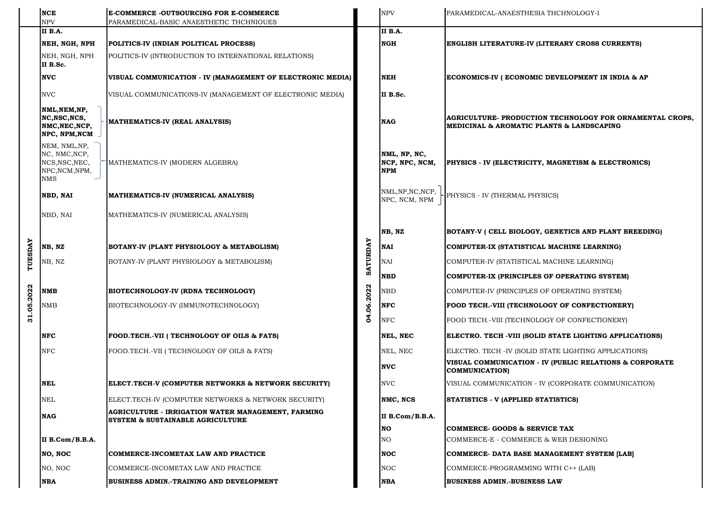|           | <b>NCE</b><br><b>NPV</b>                                                         | <b>E-COMMERCE -OUTSOURCING FOR E-COMMERCE</b><br>PARAMEDICAL-BASIC ANAESTHETIC THCHNIOUES          |         | <b>NPV</b>                                   | PARAMEDICAL-ANAESTHESIA THCHNOLOGY-I                                                   |
|-----------|----------------------------------------------------------------------------------|----------------------------------------------------------------------------------------------------|---------|----------------------------------------------|----------------------------------------------------------------------------------------|
|           | II B.A.                                                                          |                                                                                                    |         | II B.A.                                      |                                                                                        |
|           | NEH, NGH, NPH                                                                    | POLITICS-IV (INDIAN POLITICAL PROCESS)                                                             |         | NGH                                          | <b>ENGLISH LITERATURE-IV (LITERARY CROSS CI</b>                                        |
|           | NEH, NGH, NPH<br>II B.Sc.                                                        | POLITICS-IV (INTRODUCTION TO INTERNATIONAL RELATIONS)                                              |         |                                              |                                                                                        |
|           | <b>NVC</b>                                                                       | VISUAL COMMUNICATION - IV (MANAGEMENT OF ELECTRONIC MEDIA)                                         |         | NEH                                          | ECONOMICS-IV ( ECONOMIC DEVELOPMENT IN                                                 |
|           | <b>NVC</b>                                                                       | VISUAL COMMUNICATIONS-IV (MANAGEMENT OF ELECTRONIC MEDIA)                                          |         | II B.Sc.                                     |                                                                                        |
|           | NML, NEM, NP,<br>NC, NSC, NCS,<br>NMC, NEC, NCP,<br>NPC, NPM, NCM                | <b>MATHEMATICS-IV (REAL ANALYSIS)</b>                                                              |         | <b>NAG</b>                                   | <b>AGRICULTURE- PRODUCTION TECHNOLOGY FO</b><br>MEDICINAL & AROMATIC PLANTS & LANDSCAP |
|           | NEM, NML, NP,<br>NC, NMC, NCP,<br>NCS, NSC, NEC,<br>NPC, NCM, NPM,<br><b>NMS</b> | MATHEMATICS-IV (MODERN ALGEBRA)                                                                    |         | NML, NP, NC,<br>NCP, NPC, NCM,<br><b>NPM</b> | PHYSICS - IV (ELECTRICITY, MAGNETISM & ELI                                             |
|           | NBD, NAI                                                                         | MATHEMATICS-IV (NUMERICAL ANALYSIS)                                                                |         | NML, NP, NC, NCP,<br>NPC, NCM, NPM           | PHYSICS - IV (THERMAL PHYSICS)                                                         |
|           | NBD, NAI                                                                         | MATHEMATICS-IV (NUMERICAL ANALYSIS)                                                                |         |                                              |                                                                                        |
|           |                                                                                  |                                                                                                    |         | NB, NZ                                       | BOTANY-V ( CELL BIOLOGY, GENETICS AND PL                                               |
| SDAY      | NB, NZ                                                                           | BOTANY-IV (PLANT PHYSIOLOGY & METABOLISM)                                                          | ATURDAY | NAI                                          | COMPUTER-IX (STATISTICAL MACHINE LEARNI                                                |
|           | NB, NZ                                                                           | BOTANY-IV (PLANT PHYSIOLOGY & METABOLISM)                                                          |         | <b>NAI</b>                                   | COMPUTER-IV (STATISTICAL MACHINE LEARNING                                              |
|           |                                                                                  |                                                                                                    | Ø       | NBD                                          | COMPUTER-IX (PRINCIPLES OF OPERATING SY:                                               |
| 2022<br>2 | <b>NMB</b>                                                                       | <b>BIOTECHNOLOGY-IV (RDNA TECHNOLOGY)</b>                                                          | .2022   | <b>NBD</b>                                   | COMPUTER-IV (PRINCIPLES OF OPERATING SYST                                              |
|           | <b>NMB</b>                                                                       | BIOTECHNOLOGY-IV (IMMUNOTECHNOLOGY)                                                                |         | NFC                                          | FOOD TECH.-VIII (TECHNOLOGY OF CONFECTI                                                |
| 31.05.    |                                                                                  |                                                                                                    | 04.06.  | NFC                                          | FOOD TECH.-VIII (TECHNOLOGY OF CONFECTIO)                                              |
|           | <b>NFC</b>                                                                       | FOOD.TECH.-VII ( TECHNOLOGY OF OILS & FATS)                                                        |         | NEL, NEC                                     | ELECTRO. TECH -VIII (SOLID STATE LIGHTING                                              |
|           | <b>NFC</b>                                                                       | FOOD.TECH.-VII (TECHNOLOGY OF OILS & FATS)                                                         |         | NEL, NEC                                     | ELECTRO. TECH -IV (SOLID STATE LIGHTING APF                                            |
|           |                                                                                  |                                                                                                    |         | <b>NVC</b>                                   | VISUAL COMMUNICATION - IV (PUBLIC RELATION<br><b>COMMUNICATION</b>                     |
|           | <b>NEL</b>                                                                       | ELECT.TECH-V (COMPUTER NETWORKS & NETWORK SECURITY)                                                |         | <b>NVC</b>                                   | VISUAL COMMUNICATION - IV (CORPORATE COM                                               |
|           | <b>NEL</b>                                                                       | ELECT.TECH-IV (COMPUTER NETWORKS & NETWORK SECURITY)                                               |         | NMC, NCS                                     | STATISTICS - V (APPLIED STATISTICS)                                                    |
|           | <b>NAG</b>                                                                       | AGRICULTURE - IRRIGATION WATER MANAGEMENT, FARMING<br><b> SYSTEM &amp; SUSTAINABLE AGRICULTURE</b> |         | II B.Com/B.B.A.                              |                                                                                        |
|           |                                                                                  |                                                                                                    |         | NO                                           | <b>COMMERCE- GOODS &amp; SERVICE TAX</b>                                               |
|           | II B.Com/B.B.A.                                                                  |                                                                                                    |         | NO.                                          | COMMERCE-E - COMMERCE & WEB DESIGNING                                                  |
|           | NO, NOC                                                                          | COMMERCE-INCOMETAX LAW AND PRACTICE                                                                |         | <b>NOC</b>                                   | <b>COMMERCE- DATA BASE MANAGEMENT SYSTE</b>                                            |
|           | NO, NOC                                                                          | COMMERCE-INCOMETAX LAW AND PRACTICE                                                                |         | <b>NOC</b>                                   | COMMERCE-PROGRAMMING WITH C++ (LAB)                                                    |
|           | <b>NBA</b>                                                                       | BUSINESS ADMIN.-TRAINING AND DEVELOPMENT                                                           |         | <b>NBA</b>                                   | <b>BUSINESS ADMIN.-BUSINESS LAW</b>                                                    |

#### LITERARY CROSS CURRENTS)

#### C DEVELOPMENT IN INDIA & AP

#### ON TECHNOLOGY FOR ORNAMENTAL CROPS, LANTS & LANDSCAPING

#### *P*, MAGNETISM & ELECTRONICS)

#### , GENETICS AND PLANT BREEDING)

#### AL MACHINE LEARNING)

MACHINE LEARNING)

#### S OF OPERATING SYSTEM)

OF OPERATING SYSTEM)

### LOGY OF CONFECTIONERY)

OGY OF CONFECTIONERY)

### ID STATE LIGHTING APPLICATIONS)

STATE LIGHTING APPLICATIONS)

# IV (PUBLIC RELATIONS & CORPORATE

IV (CORPORATE COMMUNICATION)

### RVICE TAX

# IANAGEMENT SYSTEM [LAB]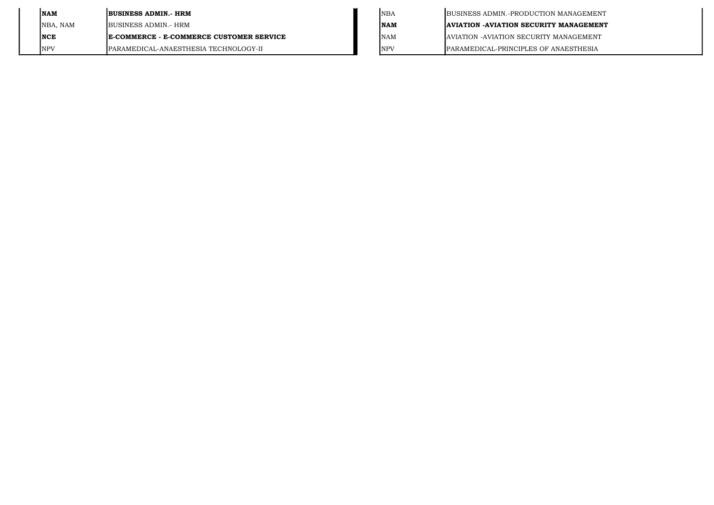| <b>NAM</b> | <b>BUSINESS ADMIN.- HRM</b>                      | <b>NBA</b>  | <b>BUSINESS ADMIN.-PRODUC</b>     |
|------------|--------------------------------------------------|-------------|-----------------------------------|
| NBA, NAM   | <b>IBUSINESS ADMIN.- HRM</b>                     | <b>INAM</b> | <b>AVIATION - AVIATION SECU</b>   |
| <b>NCE</b> | <b>IE-COMMERCE - E-COMMERCE CUSTOMER SERVICE</b> | <b>NAM</b>  | <b>JAVIATION - AVIATION SECUR</b> |
| <b>NPV</b> | PARAMEDICAL-ANAESTHESIA TECHNOLOGY-II            | <b>NPV</b>  | <b>IPARAMEDICAL-PRINCIPLES</b>    |

CTION MANAGEMENT

# URITY MANAGEMENT

RITY MANAGEMENT

S OF ANAESTHESIA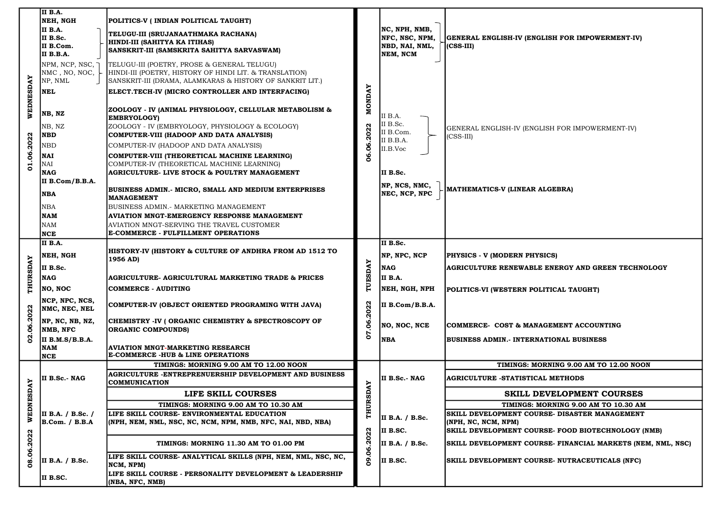|                                            | II B.A.<br>NEH, NGH<br>II B.A.<br>II B.Sc.<br>II B.Com.<br>II B.B.A.                                                                                                                                                                        | POLITICS-V (INDIAN POLITICAL TAUGHT)<br>TELUGU-III (SRUJANAATHMAKA RACHANA)<br>HINDI-III (SAHITYA KA ITIHAS)<br> SANSKRIT-III (SAMSKRITA SAHITYA SARVASWAM)                                                                                                                                                                                                                                                                                                                                                                                                                                                                                                                                                                                                                                                                                                          |                                                              | NC, NPH, NMB,<br>NFC, NSC, NPM,<br>NBD, NAI, NML,<br>NEM, NCM                                                       | <b>GENERAL ENGLISH-IV (ENGLISH FOR IMPOWERMENT-IV)</b><br>$ $ (CSS-III)                                                                                                                                                                                                                                                                                                                          |
|--------------------------------------------|---------------------------------------------------------------------------------------------------------------------------------------------------------------------------------------------------------------------------------------------|----------------------------------------------------------------------------------------------------------------------------------------------------------------------------------------------------------------------------------------------------------------------------------------------------------------------------------------------------------------------------------------------------------------------------------------------------------------------------------------------------------------------------------------------------------------------------------------------------------------------------------------------------------------------------------------------------------------------------------------------------------------------------------------------------------------------------------------------------------------------|--------------------------------------------------------------|---------------------------------------------------------------------------------------------------------------------|--------------------------------------------------------------------------------------------------------------------------------------------------------------------------------------------------------------------------------------------------------------------------------------------------------------------------------------------------------------------------------------------------|
| WEDNESDAY<br>01.06.2022                    | NPM, NCP, NSC,<br>NMC, NO, NOC,<br>NP, NML<br><b>NEL</b><br>NB, NZ<br>NB, NZ<br><b>NBD</b><br><b>NBD</b><br><b>NAI</b><br><b>NAI</b><br><b>NAG</b><br>II B.Com/B.B.A.<br><b>NBA</b><br><b>NBA</b><br><b>NAM</b><br><b>NAM</b><br><b>NCE</b> | TELUGU-III (POETRY, PROSE & GENERAL TELUGU)<br>HINDI-III (POETRY, HISTORY OF HINDI LIT. & TRANSLATION)<br>SANSKRIT-III (DRAMA, ALAMKARAS & HISTORY OF SANKRIT LIT.)<br>ELECT.TECH-IV (MICRO CONTROLLER AND INTERFACING)<br> ZOOLOGY - IV (ANIMAL PHYSIOLOGY, CELLULAR METABOLISM &<br><b>EMBRYOLOGY)</b><br>ZOOLOGY - IV (EMBRYOLOGY, PHYSIOLOGY & ECOLOGY)<br>COMPUTER-VIII (HADOOP AND DATA ANALYSIS)<br>COMPUTER-IV (HADOOP AND DATA ANALYSIS)<br>COMPUTER-VIII (THEORETICAL MACHINE LEARNING)<br>COMPUTER-IV (THEORETICAL MACHINE LEARNING)<br><b>AGRICULTURE- LIVE STOCK &amp; POULTRY MANAGEMENT</b><br>BUSINESS ADMIN.- MICRO, SMALL AND MEDIUM ENTERPRISES<br><b>IMANAGEMENT</b><br>BUSINESS ADMIN.- MARKETING MANAGEMENT<br>AVIATION MNGT-EMERGENCY RESPONSE MANAGEMENT<br>AVIATION MNGT-SERVING THE TRAVEL CUSTOMER<br>E-COMMERCE - FULFILLMENT OPERATIONS | MONDAY<br>N<br>8<br>06.06.2                                  | II B.A.<br>II B.Sc.<br>II B.Com.<br>II B.B.A.<br>II.B.Voc<br>II B.Sc.<br>NP, NCS, NMC,<br>NEC, NCP, NPC             | GENERAL ENGLISH-IV (ENGLISH FOR IMPOWERMENT-IV)<br>$(CSS-III)$<br>MATHEMATICS-V (LINEAR ALGEBRA)                                                                                                                                                                                                                                                                                                 |
| <b>SDAY</b><br><b>THUR</b><br>06.2022<br>8 | II B.A.<br>NEH, NGH<br>II B.Sc.<br><b>NAG</b><br>NO, NOC<br>NCP, NPC, NCS,<br>NMC, NEC, NEL<br>NP, NC, NB, NZ,<br>NMB, NFC<br>II B.M.S/B.B.A.<br><b>NAM</b><br>NCE                                                                          | HISTORY-IV (HISTORY & CULTURE OF ANDHRA FROM AD 1512 TO<br>1956 AD)<br><b>AGRICULTURE- AGRICULTURAL MARKETING TRADE &amp; PRICES</b><br>COMMERCE - AUDITING<br>COMPUTER-IV (OBJECT ORIENTED PROGRAMING WITH JAVA)<br>CHEMISTRY -IV (ORGANIC CHEMISTRY & SPECTROSCOPY OF<br><b>ORGANIC COMPOUNDS)</b><br><b>AVIATION MNGT-MARKETING RESEARCH</b><br>E-COMMERCE -HUB & LINE OPERATIONS                                                                                                                                                                                                                                                                                                                                                                                                                                                                                 | <b>AAY</b><br>TUES<br>.2022<br>$\overline{\mathbf{6}}$<br>70 | II B.Sc.<br>NP, NPC, NCP<br><b>NAG</b><br>II B.A.<br>NEH, NGH, NPH<br>II B.Com/B.B.A.<br>NO, NOC, NCE<br><b>NBA</b> | <b>PHYSICS - V (MODERN PHYSICS)</b><br> AGRICULTURE RENEWABLE ENERGY AND GREEN TECHNC<br>POLITICS-VI (WESTERN POLITICAL TAUGHT)<br>COMMERCE- COST & MANAGEMENT ACCOUNTING<br>BUSINESS ADMIN.- INTERNATIONAL BUSINESS                                                                                                                                                                             |
| WEDNESDAY<br>08.06.2022                    | II B.Sc.- NAG<br>II B.A. $/$ B.Sc. $/$<br>B. Com. / B.B.A<br>II B.A. / B.Sc.<br>II B.SC.                                                                                                                                                    | TIMINGS: MORNING 9.00 AM TO 12.00 NOON<br><b>AGRICULTURE -ENTREPRENUERSHIP DEVELOPMENT AND BUSINESS</b><br><b>COMMUNICATION</b><br>LIFE SKILL COURSES<br>TIMINGS: MORNING 9.00 AM TO 10.30 AM<br>LIFE SKILL COURSE- ENVIRONMENTAL EDUCATION<br>(NPH, NEM, NML, NSC, NC, NCM, NPM, NMB, NFC, NAI, NBD, NBA)<br>TIMINGS: MORNING 11.30 AM TO 01.00 PM<br>LIFE SKILL COURSE- ANALYTICAL SKILLS (NPH, NEM, NML, NSC, NC,<br>NCM, NPM)<br>LIFE SKILL COURSE - PERSONALITY DEVELOPMENT & LEADERSHIP<br>(NBA, NFC, NMB)                                                                                                                                                                                                                                                                                                                                                     | THURSDAY<br>.2022<br>09.06                                   | II B.Sc.- NAG<br>II B.A. / B.Sc.<br>II B.SC.<br>II B.A. / B.Sc.<br>II B.SC.                                         | TIMINGS: MORNING 9.00 AM TO 12.00 NOO!<br><b>AGRICULTURE -STATISTICAL METHODS</b><br>SKILL DEVELOPMENT COURSES<br>TIMINGS: MORNING 9.00 AM TO 10.30 AM<br><b> SKILL DEVELOPMENT COURSE- DISASTER MANAGEMENT</b><br>(NPH, NC, NCM, NPM)<br>SKILL DEVELOPMENT COURSE- FOOD BIOTECHNOLOGY (I<br> SKILL DEVELOPMENT COURSE- FINANCIAL MARKETS (NEI<br>SKILL DEVELOPMENT COURSE- NUTRACEUTICALS (NFC) |

#### GLISH FOR IMPOWERMENT-IV)

E ENERGY AND GREEN TECHNOLOGY

IRSE- FOOD BIOTECHNOLOGY (NMB)

TRSE- FINANCIAL MARKETS (NEM, NML, NSC)